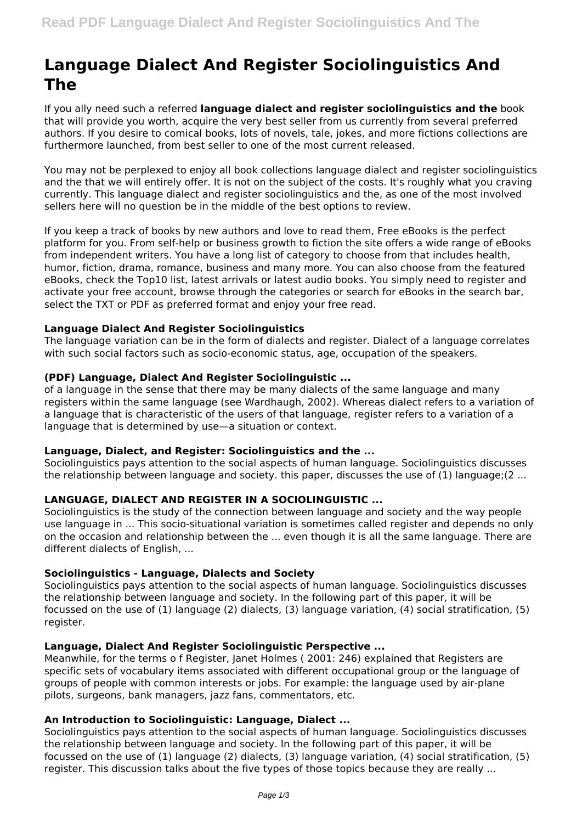# **Language Dialect And Register Sociolinguistics And The**

If you ally need such a referred **language dialect and register sociolinguistics and the** book that will provide you worth, acquire the very best seller from us currently from several preferred authors. If you desire to comical books, lots of novels, tale, jokes, and more fictions collections are furthermore launched, from best seller to one of the most current released.

You may not be perplexed to enjoy all book collections language dialect and register sociolinguistics and the that we will entirely offer. It is not on the subject of the costs. It's roughly what you craving currently. This language dialect and register sociolinguistics and the, as one of the most involved sellers here will no question be in the middle of the best options to review.

If you keep a track of books by new authors and love to read them, Free eBooks is the perfect platform for you. From self-help or business growth to fiction the site offers a wide range of eBooks from independent writers. You have a long list of category to choose from that includes health, humor, fiction, drama, romance, business and many more. You can also choose from the featured eBooks, check the Top10 list, latest arrivals or latest audio books. You simply need to register and activate your free account, browse through the categories or search for eBooks in the search bar, select the TXT or PDF as preferred format and enjoy your free read.

# **Language Dialect And Register Sociolinguistics**

The language variation can be in the form of dialects and register. Dialect of a language correlates with such social factors such as socio-economic status, age, occupation of the speakers.

## **(PDF) Language, Dialect And Register Sociolinguistic ...**

of a language in the sense that there may be many dialects of the same language and many registers within the same language (see Wardhaugh, 2002). Whereas dialect refers to a variation of a language that is characteristic of the users of that language, register refers to a variation of a language that is determined by use—a situation or context.

#### **Language, Dialect, and Register: Sociolinguistics and the ...**

Sociolinguistics pays attention to the social aspects of human language. Sociolinguistics discusses the relationship between language and society. this paper, discusses the use of (1) language;(2 ...

# **LANGUAGE, DIALECT AND REGISTER IN A SOCIOLINGUISTIC ...**

Sociolinguistics is the study of the connection between language and society and the way people use language in ... This socio-situational variation is sometimes called register and depends no only on the occasion and relationship between the ... even though it is all the same language. There are different dialects of English, ...

#### **Sociolinguistics - Language, Dialects and Society**

Sociolinguistics pays attention to the social aspects of human language. Sociolinguistics discusses the relationship between language and society. In the following part of this paper, it will be focussed on the use of (1) language (2) dialects, (3) language variation, (4) social stratification, (5) register.

## **Language, Dialect And Register Sociolinguistic Perspective ...**

Meanwhile, for the terms o f Register, Janet Holmes ( 2001: 246) explained that Registers are specific sets of vocabulary items associated with different occupational group or the language of groups of people with common interests or jobs. For example: the language used by air-plane pilots, surgeons, bank managers, jazz fans, commentators, etc.

## **An Introduction to Sociolinguistic: Language, Dialect ...**

Sociolinguistics pays attention to the social aspects of human language. Sociolinguistics discusses the relationship between language and society. In the following part of this paper, it will be focussed on the use of (1) language (2) dialects, (3) language variation, (4) social stratification, (5) register. This discussion talks about the five types of those topics because they are really ...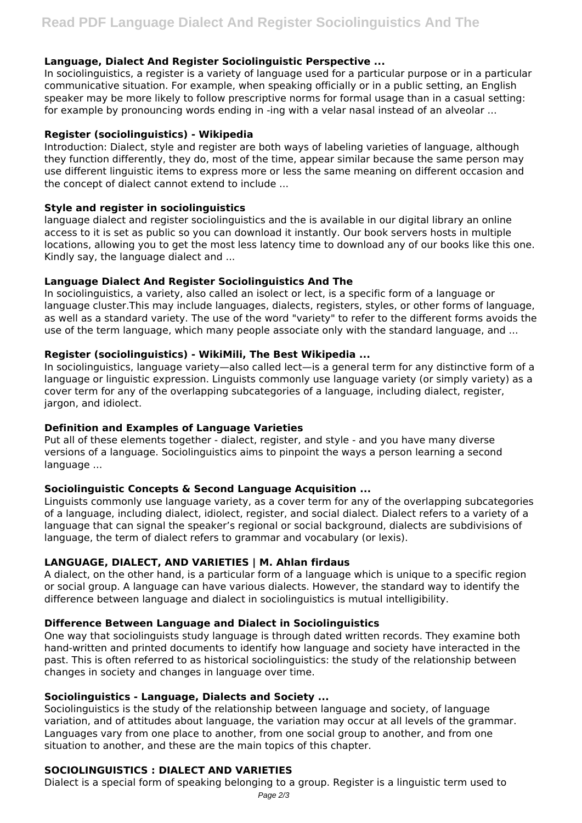# **Language, Dialect And Register Sociolinguistic Perspective ...**

In sociolinguistics, a register is a variety of language used for a particular purpose or in a particular communicative situation. For example, when speaking officially or in a public setting, an English speaker may be more likely to follow prescriptive norms for formal usage than in a casual setting: for example by pronouncing words ending in -ing with a velar nasal instead of an alveolar ...

#### **Register (sociolinguistics) - Wikipedia**

Introduction: Dialect, style and register are both ways of labeling varieties of language, although they function differently, they do, most of the time, appear similar because the same person may use different linguistic items to express more or less the same meaning on different occasion and the concept of dialect cannot extend to include ...

## **Style and register in sociolinguistics**

language dialect and register sociolinguistics and the is available in our digital library an online access to it is set as public so you can download it instantly. Our book servers hosts in multiple locations, allowing you to get the most less latency time to download any of our books like this one. Kindly say, the language dialect and ...

## **Language Dialect And Register Sociolinguistics And The**

In sociolinguistics, a variety, also called an isolect or lect, is a specific form of a language or language cluster.This may include languages, dialects, registers, styles, or other forms of language, as well as a standard variety. The use of the word "variety" to refer to the different forms avoids the use of the term language, which many people associate only with the standard language, and ...

## **Register (sociolinguistics) - WikiMili, The Best Wikipedia ...**

In sociolinguistics, language variety—also called lect—is a general term for any distinctive form of a language or linguistic expression. Linguists commonly use language variety (or simply variety) as a cover term for any of the overlapping subcategories of a language, including dialect, register, jargon, and idiolect.

# **Definition and Examples of Language Varieties**

Put all of these elements together - dialect, register, and style - and you have many diverse versions of a language. Sociolinguistics aims to pinpoint the ways a person learning a second language ...

# **Sociolinguistic Concepts & Second Language Acquisition ...**

Linguists commonly use language variety, as a cover term for any of the overlapping subcategories of a language, including dialect, idiolect, register, and social dialect. Dialect refers to a variety of a language that can signal the speaker's regional or social background, dialects are subdivisions of language, the term of dialect refers to grammar and vocabulary (or lexis).

# **LANGUAGE, DIALECT, AND VARIETIES | M. Ahlan firdaus**

A dialect, on the other hand, is a particular form of a language which is unique to a specific region or social group. A language can have various dialects. However, the standard way to identify the difference between language and dialect in sociolinguistics is mutual intelligibility.

# **Difference Between Language and Dialect in Sociolinguistics**

One way that sociolinguists study language is through dated written records. They examine both hand-written and printed documents to identify how language and society have interacted in the past. This is often referred to as historical sociolinguistics: the study of the relationship between changes in society and changes in language over time.

# **Sociolinguistics - Language, Dialects and Society ...**

Sociolinguistics is the study of the relationship between language and society, of language variation, and of attitudes about language, the variation may occur at all levels of the grammar. Languages vary from one place to another, from one social group to another, and from one situation to another, and these are the main topics of this chapter.

#### **SOCIOLINGUISTICS : DIALECT AND VARIETIES**

Dialect is a special form of speaking belonging to a group. Register is a linguistic term used to